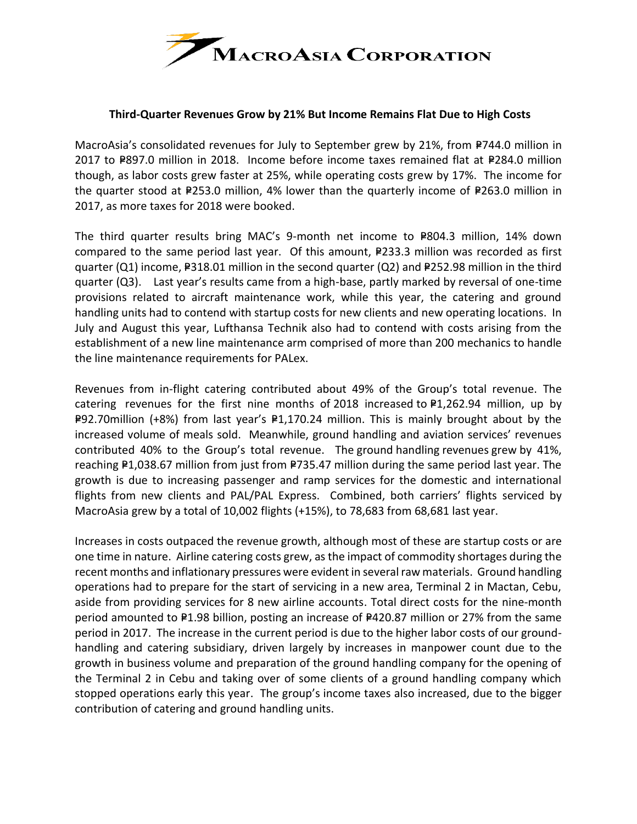

## **Third-Quarter Revenues Grow by 21% But Income Remains Flat Due to High Costs**

MacroAsia's consolidated revenues for July to September grew by 21%, from P744.0 million in 2017 to P897.0 million in 2018. Income before income taxes remained flat at P284.0 million though, as labor costs grew faster at 25%, while operating costs grew by 17%. The income for the quarter stood at  $P253.0$  million, 4% lower than the quarterly income of P263.0 million in 2017, as more taxes for 2018 were booked.

The third quarter results bring MAC's 9-month net income to P804.3 million, 14% down compared to the same period last year. Of this amount,  $P233.3$  million was recorded as first quarter (Q1) income,  $P318.01$  million in the second quarter (Q2) and P252.98 million in the third quarter (Q3). Last year's results came from a high-base, partly marked by reversal of one-time provisions related to aircraft maintenance work, while this year, the catering and ground handling units had to contend with startup costs for new clients and new operating locations. In July and August this year, Lufthansa Technik also had to contend with costs arising from the establishment of a new line maintenance arm comprised of more than 200 mechanics to handle the line maintenance requirements for PALex.

Revenues from in-flight catering contributed about 49% of the Group's total revenue. The catering revenues for the first nine months of 2018 increased to  $P1,262.94$  million, up by **P92.70million (+8%) from last year's P1,170.24 million. This is mainly brought about by the** increased volume of meals sold. Meanwhile, ground handling and aviation services' revenues contributed 40% to the Group's total revenue. The ground handling revenues grew by 41%, reaching P1,038.67 million from just from P735.47 million during the same period last year. The growth is due to increasing passenger and ramp services for the domestic and international flights from new clients and PAL/PAL Express. Combined, both carriers' flights serviced by MacroAsia grew by a total of 10,002 flights (+15%), to 78,683 from 68,681 last year.

Increases in costs outpaced the revenue growth, although most of these are startup costs or are one time in nature. Airline catering costs grew, as the impact of commodity shortages during the recent months and inflationary pressures were evident in several raw materials. Ground handling operations had to prepare for the start of servicing in a new area, Terminal 2 in Mactan, Cebu, aside from providing services for 8 new airline accounts. Total direct costs for the nine-month period amounted to P1.98 billion, posting an increase of P420.87 million or 27% from the same period in 2017. The increase in the current period is due to the higher labor costs of our groundhandling and catering subsidiary, driven largely by increases in manpower count due to the growth in business volume and preparation of the ground handling company for the opening of the Terminal 2 in Cebu and taking over of some clients of a ground handling company which stopped operations early this year. The group's income taxes also increased, due to the bigger contribution of catering and ground handling units.